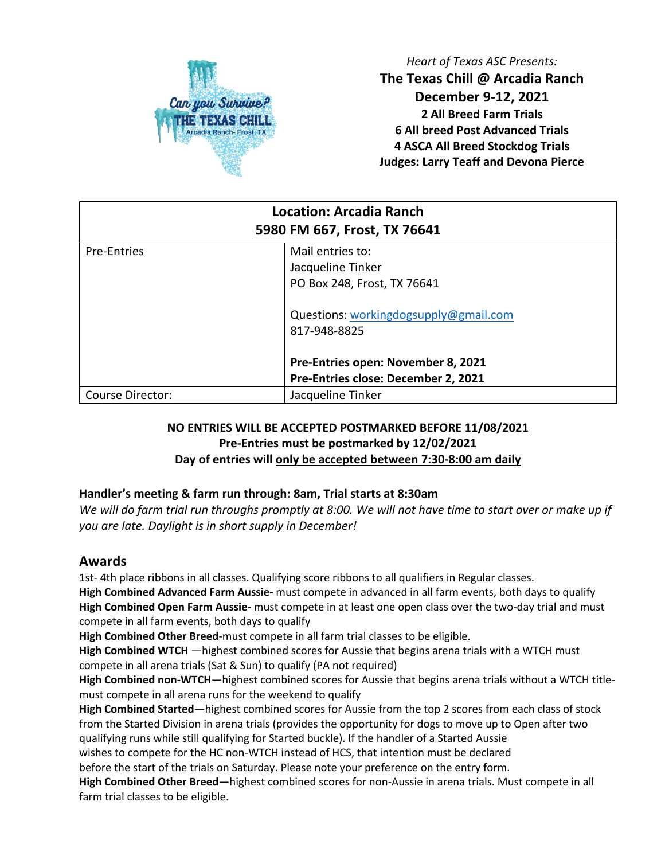

*Heart of Texas ASC Presents:* **The Texas Chill @ Arcadia Ranch December 9-12, 2021 2 All Breed Farm Trials 6 All breed Post Advanced Trials 4 ASCA All Breed Stockdog Trials Judges: Larry Teaff and Devona Pierce**

| <b>Location: Arcadia Ranch</b><br>5980 FM 667, Frost, TX 76641 |                                       |  |  |  |
|----------------------------------------------------------------|---------------------------------------|--|--|--|
| <b>Pre-Entries</b>                                             | Mail entries to:                      |  |  |  |
|                                                                | Jacqueline Tinker                     |  |  |  |
|                                                                | PO Box 248, Frost, TX 76641           |  |  |  |
|                                                                | Questions: workingdogsupply@gmail.com |  |  |  |
|                                                                | 817-948-8825                          |  |  |  |
|                                                                | Pre-Entries open: November 8, 2021    |  |  |  |
|                                                                | Pre-Entries close: December 2, 2021   |  |  |  |
| <b>Course Director:</b>                                        | Jacqueline Tinker                     |  |  |  |

### **NO ENTRIES WILL BE ACCEPTED POSTMARKED BEFORE 11/08/2021 Pre-Entries must be postmarked by 12/02/2021 Day of entries will only be accepted between 7:30-8:00 am daily**

### **Handler's meeting & farm run through: 8am, Trial starts at 8:30am**

*We will do farm trial run throughs promptly at 8:00. We will not have time to start over or make up if you are late. Daylight is in short supply in December!* 

## **Awards**

1st- 4th place ribbons in all classes. Qualifying score ribbons to all qualifiers in Regular classes. **High Combined Advanced Farm Aussie-** must compete in advanced in all farm events, both days to qualify **High Combined Open Farm Aussie-** must compete in at least one open class over the two-day trial and must compete in all farm events, both days to qualify

**High Combined Other Breed**-must compete in all farm trial classes to be eligible.

**High Combined WTCH** —highest combined scores for Aussie that begins arena trials with a WTCH must compete in all arena trials (Sat & Sun) to qualify (PA not required)

**High Combined non-WTCH**—highest combined scores for Aussie that begins arena trials without a WTCH titlemust compete in all arena runs for the weekend to qualify

**High Combined Started**—highest combined scores for Aussie from the top 2 scores from each class of stock from the Started Division in arena trials (provides the opportunity for dogs to move up to Open after two qualifying runs while still qualifying for Started buckle). If the handler of a Started Aussie

wishes to compete for the HC non-WTCH instead of HCS, that intention must be declared

before the start of the trials on Saturday. Please note your preference on the entry form.

**High Combined Other Breed**—highest combined scores for non-Aussie in arena trials. Must compete in all farm trial classes to be eligible.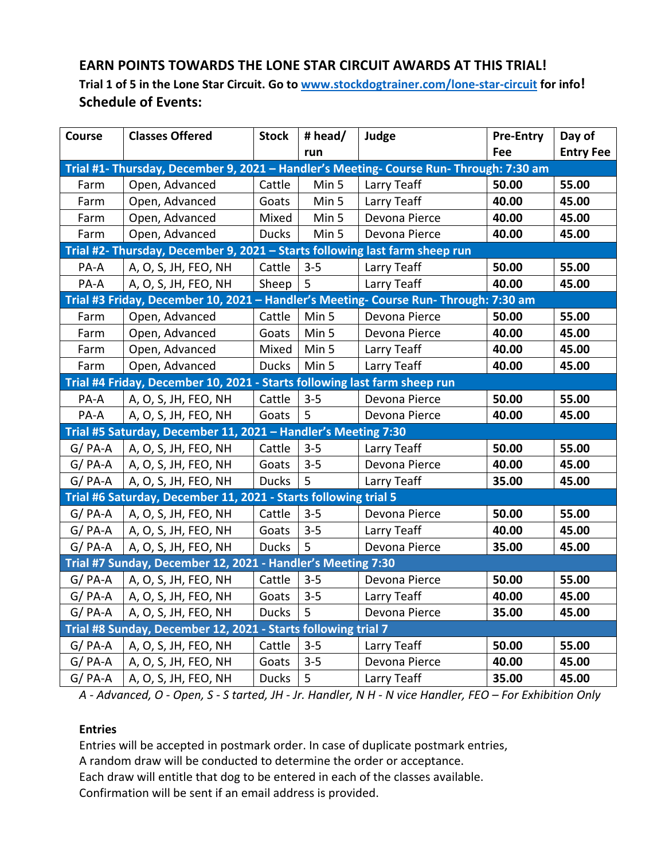# **EARN POINTS TOWARDS THE LONE STAR CIRCUIT AWARDS AT THIS TRIAL!**

**Trial 1 of 5 in the Lone Star Circuit. Go to www.stockdogtrainer.com/lone-star-circuit for info! Schedule of Events:** 

| Course                                                                                 | <b>Classes Offered</b> | <b>Stock</b> | # head/ | Judge         | <b>Pre-Entry</b> | Day of           |  |  |
|----------------------------------------------------------------------------------------|------------------------|--------------|---------|---------------|------------------|------------------|--|--|
|                                                                                        |                        |              | run     |               | Fee              | <b>Entry Fee</b> |  |  |
| Trial #1- Thursday, December 9, 2021 - Handler's Meeting- Course Run- Through: 7:30 am |                        |              |         |               |                  |                  |  |  |
| Farm                                                                                   | Open, Advanced         | Cattle       | Min 5   | Larry Teaff   | 50.00            | 55.00            |  |  |
| Farm                                                                                   | Open, Advanced         | Goats        | Min 5   | Larry Teaff   | 40.00            | 45.00            |  |  |
| Farm                                                                                   | Open, Advanced         | Mixed        | Min 5   | Devona Pierce | 40.00            | 45.00            |  |  |
| Farm                                                                                   | Open, Advanced         | <b>Ducks</b> | Min 5   | Devona Pierce | 40.00            | 45.00            |  |  |
| Trial #2- Thursday, December 9, 2021 - Starts following last farm sheep run            |                        |              |         |               |                  |                  |  |  |
| PA-A                                                                                   | A, O, S, JH, FEO, NH   | Cattle       | $3 - 5$ | Larry Teaff   | 50.00            | 55.00            |  |  |
| PA-A                                                                                   | A, O, S, JH, FEO, NH   | Sheep        | 5       | Larry Teaff   | 40.00            | 45.00            |  |  |
| Trial #3 Friday, December 10, 2021 - Handler's Meeting- Course Run- Through: 7:30 am   |                        |              |         |               |                  |                  |  |  |
| Farm                                                                                   | Open, Advanced         | Cattle       | Min 5   | Devona Pierce | 50.00            | 55.00            |  |  |
| Farm                                                                                   | Open, Advanced         | Goats        | Min 5   | Devona Pierce | 40.00            | 45.00            |  |  |
| Farm                                                                                   | Open, Advanced         | Mixed        | Min 5   | Larry Teaff   | 40.00            | 45.00            |  |  |
| Farm                                                                                   | Open, Advanced         | <b>Ducks</b> | Min 5   | Larry Teaff   | 40.00            | 45.00            |  |  |
| Trial #4 Friday, December 10, 2021 - Starts following last farm sheep run              |                        |              |         |               |                  |                  |  |  |
| PA-A                                                                                   | A, O, S, JH, FEO, NH   | Cattle       | $3 - 5$ | Devona Pierce | 50.00            | 55.00            |  |  |
| PA-A                                                                                   | A, O, S, JH, FEO, NH   | Goats        | 5       | Devona Pierce | 40.00            | 45.00            |  |  |
| Trial #5 Saturday, December 11, 2021 - Handler's Meeting 7:30                          |                        |              |         |               |                  |                  |  |  |
| $G/PA-A$                                                                               | A, O, S, JH, FEO, NH   | Cattle       | $3 - 5$ | Larry Teaff   | 50.00            | 55.00            |  |  |
| $G/PA-A$                                                                               | A, O, S, JH, FEO, NH   | Goats        | $3 - 5$ | Devona Pierce | 40.00            | 45.00            |  |  |
| $G/PA-A$                                                                               | A, O, S, JH, FEO, NH   | <b>Ducks</b> | 5       | Larry Teaff   | 35.00            | 45.00            |  |  |
| Trial #6 Saturday, December 11, 2021 - Starts following trial 5                        |                        |              |         |               |                  |                  |  |  |
| $G/PA-A$                                                                               | A, O, S, JH, FEO, NH   | Cattle       | $3 - 5$ | Devona Pierce | 50.00            | 55.00            |  |  |
| $G/PA-A$                                                                               | A, O, S, JH, FEO, NH   | Goats        | $3 - 5$ | Larry Teaff   | 40.00            | 45.00            |  |  |
| $G/PA-A$                                                                               | A, O, S, JH, FEO, NH   | <b>Ducks</b> | 5       | Devona Pierce | 35.00            | 45.00            |  |  |
| Trial #7 Sunday, December 12, 2021 - Handler's Meeting 7:30                            |                        |              |         |               |                  |                  |  |  |
| $G/PA-A$                                                                               | A, O, S, JH, FEO, NH   | Cattle       | $3 - 5$ | Devona Pierce | 50.00            | 55.00            |  |  |
| $G/PA-A$                                                                               | A, O, S, JH, FEO, NH   | Goats        | $3 - 5$ | Larry Teaff   | 40.00            | 45.00            |  |  |
| $G/PA-A$                                                                               | A, O, S, JH, FEO, NH   | <b>Ducks</b> | 5       | Devona Pierce | 35.00            | 45.00            |  |  |
| Trial #8 Sunday, December 12, 2021 - Starts following trial 7                          |                        |              |         |               |                  |                  |  |  |
| $G/PA-A$                                                                               | A, O, S, JH, FEO, NH   | Cattle       | $3 - 5$ | Larry Teaff   | 50.00            | 55.00            |  |  |
| $G/PA-A$                                                                               | A, O, S, JH, FEO, NH   | Goats        | $3 - 5$ | Devona Pierce | 40.00            | 45.00            |  |  |
| $G/PA-A$                                                                               | A, O, S, JH, FEO, NH   | <b>Ducks</b> | 5       | Larry Teaff   | 35.00            | 45.00            |  |  |

*A - Advanced, O - Open, S - S tarted, JH - Jr. Handler, N H - N vice Handler, FEO – For Exhibition Only*

#### **Entries**

Entries will be accepted in postmark order. In case of duplicate postmark entries,

A random draw will be conducted to determine the order or acceptance.

Each draw will entitle that dog to be entered in each of the classes available.

Confirmation will be sent if an email address is provided.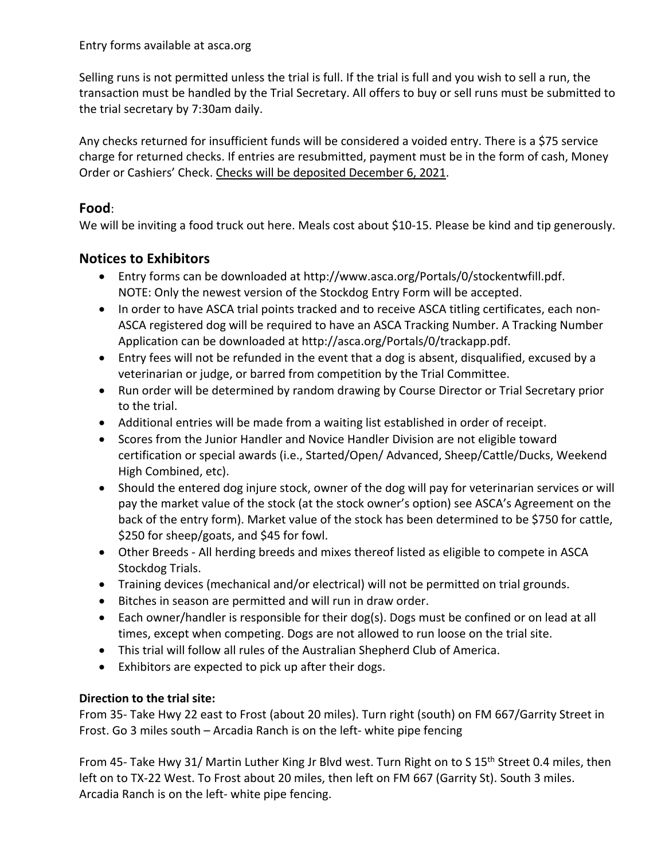Selling runs is not permitted unless the trial is full. If the trial is full and you wish to sell a run, the transaction must be handled by the Trial Secretary. All offers to buy or sell runs must be submitted to the trial secretary by 7:30am daily.

Any checks returned for insufficient funds will be considered a voided entry. There is a \$75 service charge for returned checks. If entries are resubmitted, payment must be in the form of cash, Money Order or Cashiers' Check. Checks will be deposited December 6, 2021.

# **Food**:

We will be inviting a food truck out here. Meals cost about \$10-15. Please be kind and tip generously.

# **Notices to Exhibitors**

- Entry forms can be downloaded at http://www.asca.org/Portals/0/stockentwfill.pdf. NOTE: Only the newest version of the Stockdog Entry Form will be accepted.
- In order to have ASCA trial points tracked and to receive ASCA titling certificates, each non-ASCA registered dog will be required to have an ASCA Tracking Number. A Tracking Number Application can be downloaded at http://asca.org/Portals/0/trackapp.pdf.
- Entry fees will not be refunded in the event that a dog is absent, disqualified, excused by a veterinarian or judge, or barred from competition by the Trial Committee.
- Run order will be determined by random drawing by Course Director or Trial Secretary prior to the trial.
- Additional entries will be made from a waiting list established in order of receipt.
- Scores from the Junior Handler and Novice Handler Division are not eligible toward certification or special awards (i.e., Started/Open/ Advanced, Sheep/Cattle/Ducks, Weekend High Combined, etc).
- Should the entered dog injure stock, owner of the dog will pay for veterinarian services or will pay the market value of the stock (at the stock owner's option) see ASCA's Agreement on the back of the entry form). Market value of the stock has been determined to be \$750 for cattle, \$250 for sheep/goats, and \$45 for fowl.
- Other Breeds All herding breeds and mixes thereof listed as eligible to compete in ASCA Stockdog Trials.
- Training devices (mechanical and/or electrical) will not be permitted on trial grounds.
- Bitches in season are permitted and will run in draw order.
- Each owner/handler is responsible for their dog(s). Dogs must be confined or on lead at all times, except when competing. Dogs are not allowed to run loose on the trial site.
- This trial will follow all rules of the Australian Shepherd Club of America.
- Exhibitors are expected to pick up after their dogs.

# **Direction to the trial site:**

From 35- Take Hwy 22 east to Frost (about 20 miles). Turn right (south) on FM 667/Garrity Street in Frost. Go 3 miles south – Arcadia Ranch is on the left- white pipe fencing

From 45- Take Hwy 31/ Martin Luther King Jr Blvd west. Turn Right on to S 15<sup>th</sup> Street 0.4 miles, then left on to TX-22 West. To Frost about 20 miles, then left on FM 667 (Garrity St). South 3 miles. Arcadia Ranch is on the left- white pipe fencing.